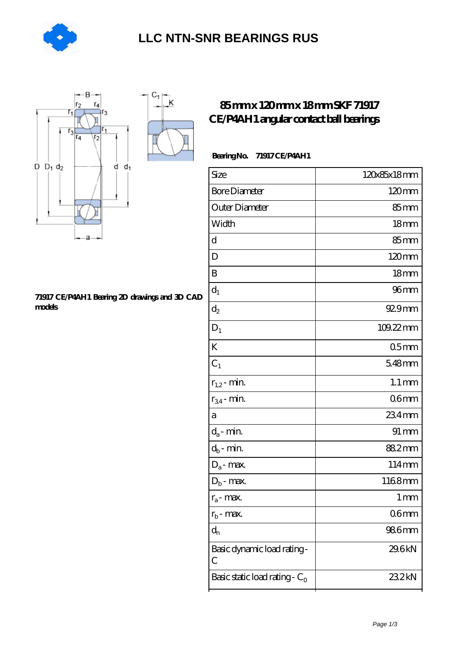

### **[LLC NTN-SNR BEARINGS RUS](https://agencel2om.com)**



#### **[71917 CE/P4AH1 Bearing 2D drawings and 3D CAD](https://agencel2om.com/pic-566785.html) [models](https://agencel2om.com/pic-566785.html)**

### **[85 mm x 120 mm x 18 mm SKF 71917](https://agencel2om.com/skf-71917-ce-p4ah1-bearing/) [CE/P4AH1 angular contact ball bearings](https://agencel2om.com/skf-71917-ce-p4ah1-bearing/)**

#### **Bearing No. 71917 CE/P4AH1**

| Size                             | 120x85x18mm        |
|----------------------------------|--------------------|
| <b>Bore Diameter</b>             | $120 \text{mm}$    |
| Outer Diameter                   | $85 \text{mm}$     |
| Width                            | 18 <sub>mm</sub>   |
| d                                | 85 <sub>mm</sub>   |
| D                                | 120mm              |
| B                                | 18 <sub>mm</sub>   |
| $d_1$                            | 96 <sub>mm</sub>   |
| $d_2$                            | 929mm              |
| $D_1$                            | 109.22mm           |
| K                                | 05 <sub>mm</sub>   |
| $C_1$                            | 5.48mm             |
| $r_{1,2}$ - min.                 | $1.1 \, \text{mm}$ |
| $r_{34}$ - min.                  | 06 <sub>mm</sub>   |
| a                                | 234mm              |
| $d_a$ - min.                     | $91 \, \text{mm}$  |
| $d_b$ - min.                     | 88.2mm             |
| $D_a$ - max.                     | 114mm              |
| $D_b$ - max.                     | 1168mm             |
| $r_a$ - max.                     | $1 \, \mathrm{mm}$ |
| $r_{b}$ - max.                   | 06 <sub>mm</sub>   |
| $d_{n}$                          | 986mm              |
| Basic dynamic load rating-<br>С  | 29.6kN             |
| Basic static load rating - $C_0$ | 23.2kN             |
|                                  |                    |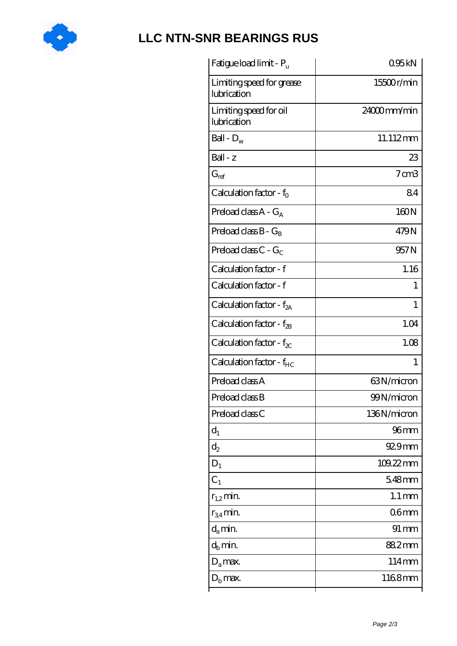

# **[LLC NTN-SNR BEARINGS RUS](https://agencel2om.com)**

| Fatigue load limit - Pu                  | 095kN               |
|------------------------------------------|---------------------|
| Limiting speed for grease<br>lubrication | 15500r/min          |
| Limiting speed for oil<br>lubrication    | 24000mm/min         |
| Ball - $D_w$                             | 11.112mm            |
| Ball - z                                 | 23                  |
| $G_{\mathrm{ref}}$                       | $7 \text{ cm}$ 3    |
| Calculation factor - $f_0$               | 84                  |
| Preload class $A - G_A$                  | 160N                |
| Preload class $B - G_B$                  | 479N                |
| Preload class $C - G_C$                  | 957 <sub>N</sub>    |
| Calculation factor - f                   | 1.16                |
| Calculation factor - f                   | $\mathbf{1}$        |
| Calculation factor - $f_{2A}$            | 1                   |
| Calculation factor - $f_{2B}$            | 1.04                |
| Calculation factor - $f_{\chi}$          | 1.08                |
| Calculation factor - $f_{HC}$            | 1                   |
| Preload class A                          | 63N/micron          |
| Preload class B                          | 99N/micron          |
| Preload class C                          | 136N/micron         |
| $d_1$                                    | 96mm                |
| $\mathrm{d}_2$                           | 929mm               |
| $D_1$                                    | $109.22$ mm         |
| C <sub>1</sub>                           | 5.48mm              |
| $r_{1,2}$ min.                           | $1.1 \,\mathrm{mm}$ |
| $r_{34}$ min.                            | 06 <sub>mm</sub>    |
| $d_a$ min.                               | $91 \,\mathrm{mm}$  |
| $d_h$ min.                               | 88.2mm              |
| $D_a$ max.                               | 114mm               |
| $D_{\rm b}$ max.                         | 1168mm              |
|                                          |                     |